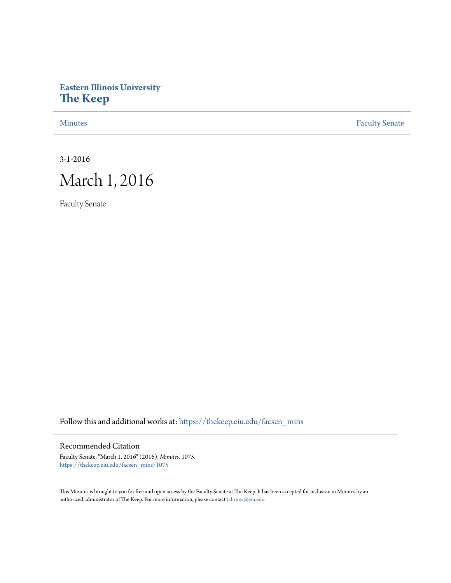## **Eastern Illinois University [The Keep](https://thekeep.eiu.edu?utm_source=thekeep.eiu.edu%2Ffacsen_mins%2F1075&utm_medium=PDF&utm_campaign=PDFCoverPages)**

[Minutes](https://thekeep.eiu.edu/facsen_mins?utm_source=thekeep.eiu.edu%2Ffacsen_mins%2F1075&utm_medium=PDF&utm_campaign=PDFCoverPages) **[Faculty Senate](https://thekeep.eiu.edu/fac_senate?utm_source=thekeep.eiu.edu%2Ffacsen_mins%2F1075&utm_medium=PDF&utm_campaign=PDFCoverPages)** 

3-1-2016

# March 1, 2016

Faculty Senate

Follow this and additional works at: [https://thekeep.eiu.edu/facsen\\_mins](https://thekeep.eiu.edu/facsen_mins?utm_source=thekeep.eiu.edu%2Ffacsen_mins%2F1075&utm_medium=PDF&utm_campaign=PDFCoverPages)

### Recommended Citation

Faculty Senate, "March 1, 2016" (2016). *Minutes*. 1075. [https://thekeep.eiu.edu/facsen\\_mins/1075](https://thekeep.eiu.edu/facsen_mins/1075?utm_source=thekeep.eiu.edu%2Ffacsen_mins%2F1075&utm_medium=PDF&utm_campaign=PDFCoverPages)

This Minutes is brought to you for free and open access by the Faculty Senate at The Keep. It has been accepted for inclusion in Minutes by an authorized administrator of The Keep. For more information, please contact [tabruns@eiu.edu](mailto:tabruns@eiu.edu).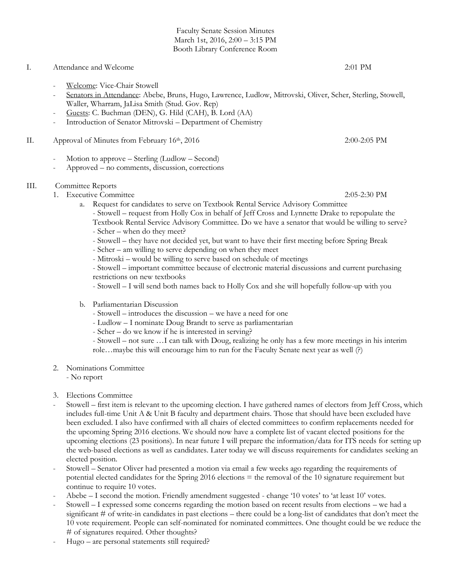Faculty Senate Session Minutes March 1st, 2016, 2:00 – 3:15 PM Booth Library Conference Room

#### I. Attendance and Welcome 2:01 PM

- Welcome: Vice-Chair Stowell
- Senators in Attendance: Abebe, Bruns, Hugo, Lawrence, Ludlow, Mitrovski, Oliver, Scher, Sterling, Stowell, Waller, Wharram, JaLisa Smith (Stud. Gov. Rep)
- Guests: C. Buchman (DEN), G. Hild (CAH), B. Lord (AA)
- Introduction of Senator Mitrovski Department of Chemistry
- II. Approval of Minutes from February 16<sup>th</sup>, 2016 2:00-2:05 PM
	- Motion to approve Sterling (Ludlow Second)
	- Approved no comments, discussion, corrections

#### III. Committee Reports

- 1. Executive Committee 2:05-2:30 PM
	- a. Request for candidates to serve on Textbook Rental Service Advisory Committee
		- Stowell request from Holly Cox in behalf of Jeff Cross and Lynnette Drake to repopulate the Textbook Rental Service Advisory Committee. Do we have a senator that would be willing to serve?
		- Scher when do they meet?
		- Stowell they have not decided yet, but want to have their first meeting before Spring Break
		- Scher am willing to serve depending on when they meet
		- Mitroski would be willing to serve based on schedule of meetings

- Stowell – important committee because of electronic material discussions and current purchasing restrictions on new textbooks

- Stowell – I will send both names back to Holly Cox and she will hopefully follow-up with you

#### b. Parliamentarian Discussion

- Stowell introduces the discussion we have a need for one
- Ludlow I nominate Doug Brandt to serve as parliamentarian
- Scher do we know if he is interested in serving?

- Stowell – not sure …I can talk with Doug, realizing he only has a few more meetings in his interim role…maybe this will encourage him to run for the Faculty Senate next year as well (?)

#### 2. Nominations Committee

- No report

- 3. Elections Committee
- Stowell first item is relevant to the upcoming election. I have gathered names of electors from Jeff Cross, which includes full-time Unit A & Unit B faculty and department chairs. Those that should have been excluded have been excluded. I also have confirmed with all chairs of elected committees to confirm replacements needed for the upcoming Spring 2016 elections. We should now have a complete list of vacant elected positions for the upcoming elections (23 positions). In near future I will prepare the information/data for ITS needs for setting up the web-based elections as well as candidates. Later today we will discuss requirements for candidates seeking an elected position.
- Stowell Senator Oliver had presented a motion via email a few weeks ago regarding the requirements of potential elected candidates for the Spring 2016 elections = the removal of the 10 signature requirement but continue to require 10 votes.
- Abebe I second the motion. Friendly amendment suggested change '10 votes' to 'at least 10' votes.
- Stowell I expressed some concerns regarding the motion based on recent results from elections we had a significant # of write-in candidates in past elections – there could be a long-list of candidates that don't meet the 10 vote requirement. People can self-nominated for nominated committees. One thought could be we reduce the # of signatures required. Other thoughts?
- Hugo are personal statements still required?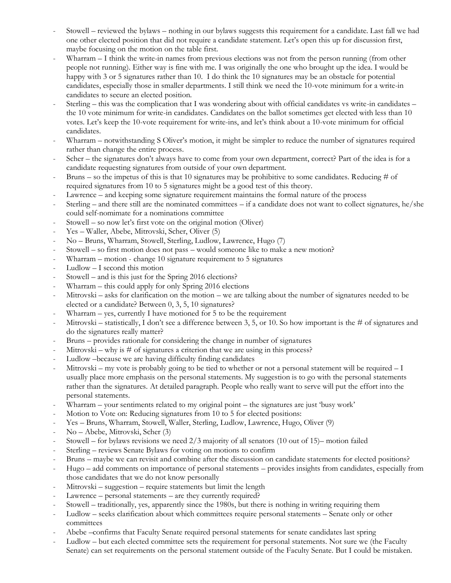- Stowell reviewed the bylaws nothing in our bylaws suggests this requirement for a candidate. Last fall we had one other elected position that did not require a candidate statement. Let's open this up for discussion first, maybe focusing on the motion on the table first.
- Wharram I think the write-in names from previous elections was not from the person running (from other people not running). Either way is fine with me. I was originally the one who brought up the idea. I would be happy with 3 or 5 signatures rather than 10. I do think the 10 signatures may be an obstacle for potential candidates, especially those in smaller departments. I still think we need the 10-vote minimum for a write-in candidates to secure an elected position.
- Sterling this was the complication that I was wondering about with official candidates vs write-in candidates the 10 vote minimum for write-in candidates. Candidates on the ballot sometimes get elected with less than 10 votes. Let's keep the 10-vote requirement for write-ins, and let's think about a 10-vote minimum for official candidates.
- Wharram notwithstanding S Oliver's motion, it might be simpler to reduce the number of signatures required rather than change the entire process.
- Scher the signatures don't always have to come from your own department, correct? Part of the idea is for a candidate requesting signatures from outside of your own department.
- Bruns so the impetus of this is that 10 signatures may be prohibitive to some candidates. Reducing  $\#$  of required signatures from 10 to 5 signatures might be a good test of this theory.
- Lawrence and keeping some signature requirement maintains the formal nature of the process
- Sterling and there still are the nominated committees if a candidate does not want to collect signatures, he/she could self-nomimate for a nominations committee
- Stowell so now let's first vote on the original motion (Oliver)
- Yes Waller, Abebe, Mitrovski, Scher, Oliver (5)
- No Bruns, Wharram, Stowell, Sterling, Ludlow, Lawrence, Hugo (7)
- Stowell so first motion does not pass would someone like to make a new motion?
- Wharram motion change  $10$  signature requirement to  $5$  signatures
- $Ludlow-I$  second this motion
- Stowell and is this just for the Spring 2016 elections?
- Wharram this could apply for only Spring 2016 elections
- Mitrovski asks for clarification on the motion we are talking about the number of signatures needed to be elected or a candidate? Between 0, 3, 5, 10 signatures?
- Wharram  $-$  yes, currently I have motioned for 5 to be the requirement
- Mitrovski statistically, I don't see a difference between 3, 5, or 10. So how important is the # of signatures and do the signatures really matter?
- Bruns provides rationale for considering the change in number of signatures
- Mitrovski why is  $#$  of signatures a criterion that we are using in this process?
- Ludlow –because we are having difficulty finding candidates
- Mitrovski my vote is probably going to be tied to whether or not a personal statement will be required  $-I$ usually place more emphasis on the personal statements. My suggestion is to go with the personal statements rather than the signatures. At detailed paragraph. People who really want to serve will put the effort into the personal statements.
- Wharram your sentiments related to my original point the signatures are just 'busy work'
- Motion to Vote on: Reducing signatures from 10 to 5 for elected positions:
- Yes Bruns, Wharram, Stowell, Waller, Sterling, Ludlow, Lawrence, Hugo, Oliver (9)
- No Abebe, Mitrovski, Scher (3)
- Stowell for bylaws revisions we need  $2/3$  majority of all senators (10 out of 15)– motion failed
- Sterling reviews Senate Bylaws for voting on motions to confirm
- Bruns maybe we can revisit and combine after the discussion on candidate statements for elected positions?
- Hugo add comments on importance of personal statements provides insights from candidates, especially from those candidates that we do not know personally
- Mitrovski suggestion require statements but limit the length
- Lawrence personal statements are they currently required?
- Stowell traditionally, yes, apparently since the 1980s, but there is nothing in writing requiring them
- Ludlow seeks clarification about which committees require personal statements Senate only or other committees
- Abebe –confirms that Faculty Senate required personal statements for senate candidates last spring
- Ludlow but each elected committee sets the requirement for personal statements. Not sure we (the Faculty Senate) can set requirements on the personal statement outside of the Faculty Senate. But I could be mistaken.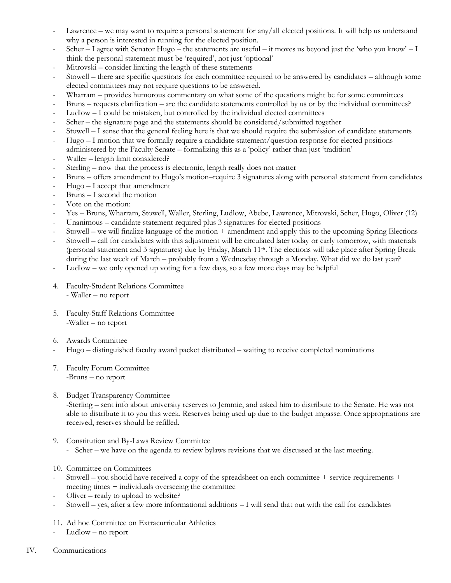- Lawrence we may want to require a personal statement for any/all elected positions. It will help us understand why a person is interested in running for the elected position.
- Scher I agree with Senator Hugo the statements are useful it moves us beyond just the 'who you know' I think the personal statement must be 'required', not just 'optional'
- Mitrovski consider limiting the length of these statements
- Stowell there are specific questions for each committee required to be answered by candidates although some elected committees may not require questions to be answered.
- Wharram provides humorous commentary on what some of the questions might be for some committees
- Bruns requests clarification are the candidate statements controlled by us or by the individual committees?
- Ludlow I could be mistaken, but controlled by the individual elected committees
- Scher the signature page and the statements should be considered/submitted together
- Stowell I sense that the general feeling here is that we should require the submission of candidate statements
- Hugo I motion that we formally require a candidate statement/question response for elected positions administered by the Faculty Senate – formalizing this as a 'policy' rather than just 'tradition'
- Waller length limit considered?
- Sterling now that the process is electronic, length really does not matter
- Bruns offers amendment to Hugo's motion–require 3 signatures along with personal statement from candidates
- Hugo I accept that amendment
- Bruns I second the motion
- Vote on the motion:
- Yes Bruns, Wharram, Stowell, Waller, Sterling, Ludlow, Abebe, Lawrence, Mitrovski, Scher, Hugo, Oliver (12)
- Unanimous candidate statement required plus 3 signatures for elected positions
- Stowell we will finalize language of the motion + amendment and apply this to the upcoming Spring Elections
- Stowell call for candidates with this adjustment will be circulated later today or early tomorrow, with materials (personal statement and 3 signatures) due by Friday, March 11th. The elections will take place after Spring Break during the last week of March – probably from a Wednesday through a Monday. What did we do last year?
- Ludlow we only opened up voting for a few days, so a few more days may be helpful
- 4. Faculty-Student Relations Committee - Waller – no report
- 5. Faculty-Staff Relations Committee -Waller – no report
- 6. Awards Committee
- Hugo distinguished faculty award packet distributed waiting to receive completed nominations
- 7. Faculty Forum Committee -Bruns – no report
- 8. Budget Transparency Committee -Sterling – sent info about university reserves to Jemmie, and asked him to distribute to the Senate. He was not able to distribute it to you this week. Reserves being used up due to the budget impasse. Once appropriations are received, reserves should be refilled.
- 9. Constitution and By-Laws Review Committee
	- Scher we have on the agenda to review bylaws revisions that we discussed at the last meeting.
- 10. Committee on Committees
- Stowell you should have received a copy of the spreadsheet on each committee  $+$  service requirements  $+$ meeting times + individuals overseeing the committee
- Oliver ready to upload to website?
- Stowell yes, after a few more informational additions  $-1$  will send that out with the call for candidates
- 11. Ad hoc Committee on Extracurricular Athletics
- Ludlow no report
- IV. Communications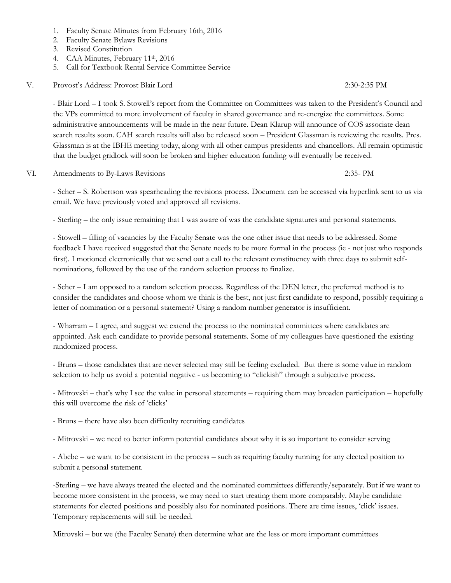- 1. Faculty Senate Minutes from February 16th, 2016
- 2. Faculty Senate Bylaws Revisions
- 3. Revised Constitution
- 4. CAA Minutes, February 11<sup>th</sup>, 2016
- 5. Call for Textbook Rental Service Committee Service
- V. Provost's Address: Provost Blair Lord 2:30-2:35 PM

- Blair Lord – I took S. Stowell's report from the Committee on Committees was taken to the President's Council and the VPs committed to more involvement of faculty in shared governance and re-energize the committees. Some administrative announcements will be made in the near future. Dean Klarup will announce of COS associate dean search results soon. CAH search results will also be released soon – President Glassman is reviewing the results. Pres. Glassman is at the IBHE meeting today, along with all other campus presidents and chancellors. All remain optimistic that the budget gridlock will soon be broken and higher education funding will eventually be received.

#### VI. Amendments to By-Laws Revisions 2:35- PM

- Scher – S. Robertson was spearheading the revisions process. Document can be accessed via hyperlink sent to us via email. We have previously voted and approved all revisions.

- Sterling – the only issue remaining that I was aware of was the candidate signatures and personal statements.

- Stowell – filling of vacancies by the Faculty Senate was the one other issue that needs to be addressed. Some feedback I have received suggested that the Senate needs to be more formal in the process (ie - not just who responds first). I motioned electronically that we send out a call to the relevant constituency with three days to submit selfnominations, followed by the use of the random selection process to finalize.

- Scher – I am opposed to a random selection process. Regardless of the DEN letter, the preferred method is to consider the candidates and choose whom we think is the best, not just first candidate to respond, possibly requiring a letter of nomination or a personal statement? Using a random number generator is insufficient.

- Wharram – I agree, and suggest we extend the process to the nominated committees where candidates are appointed. Ask each candidate to provide personal statements. Some of my colleagues have questioned the existing randomized process.

- Bruns – those candidates that are never selected may still be feeling excluded. But there is some value in random selection to help us avoid a potential negative - us becoming to "clickish" through a subjective process.

- Mitrovski – that's why I see the value in personal statements – requiring them may broaden participation – hopefully this will overcome the risk of 'clicks'

- Bruns – there have also been difficulty recruiting candidates

- Mitrovski – we need to better inform potential candidates about why it is so important to consider serving

- Abebe – we want to be consistent in the process – such as requiring faculty running for any elected position to submit a personal statement.

-Sterling – we have always treated the elected and the nominated committees differently/separately. But if we want to become more consistent in the process, we may need to start treating them more comparably. Maybe candidate statements for elected positions and possibly also for nominated positions. There are time issues, 'click' issues. Temporary replacements will still be needed.

Mitrovski – but we (the Faculty Senate) then determine what are the less or more important committees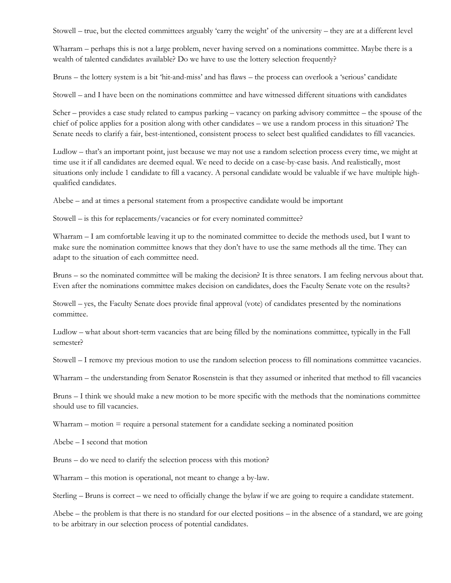Stowell – true, but the elected committees arguably 'carry the weight' of the university – they are at a different level

Wharram – perhaps this is not a large problem, never having served on a nominations committee. Maybe there is a wealth of talented candidates available? Do we have to use the lottery selection frequently?

Bruns – the lottery system is a bit 'hit-and-miss' and has flaws – the process can overlook a 'serious' candidate

Stowell – and I have been on the nominations committee and have witnessed different situations with candidates

Scher – provides a case study related to campus parking – vacancy on parking advisory committee – the spouse of the chief of police applies for a position along with other candidates – we use a random process in this situation? The Senate needs to clarify a fair, best-intentioned, consistent process to select best qualified candidates to fill vacancies.

Ludlow – that's an important point, just because we may not use a random selection process every time, we might at time use it if all candidates are deemed equal. We need to decide on a case-by-case basis. And realistically, most situations only include 1 candidate to fill a vacancy. A personal candidate would be valuable if we have multiple highqualified candidates.

Abebe – and at times a personal statement from a prospective candidate would be important

Stowell – is this for replacements/vacancies or for every nominated committee?

Wharram – I am comfortable leaving it up to the nominated committee to decide the methods used, but I want to make sure the nomination committee knows that they don't have to use the same methods all the time. They can adapt to the situation of each committee need.

Bruns – so the nominated committee will be making the decision? It is three senators. I am feeling nervous about that. Even after the nominations committee makes decision on candidates, does the Faculty Senate vote on the results?

Stowell – yes, the Faculty Senate does provide final approval (vote) of candidates presented by the nominations committee.

Ludlow – what about short-term vacancies that are being filled by the nominations committee, typically in the Fall semester?

Stowell – I remove my previous motion to use the random selection process to fill nominations committee vacancies.

Wharram – the understanding from Senator Rosenstein is that they assumed or inherited that method to fill vacancies

Bruns – I think we should make a new motion to be more specific with the methods that the nominations committee should use to fill vacancies.

Wharram – motion = require a personal statement for a candidate seeking a nominated position

Abebe – I second that motion

Bruns – do we need to clarify the selection process with this motion?

Wharram – this motion is operational, not meant to change a by-law.

Sterling – Bruns is correct – we need to officially change the bylaw if we are going to require a candidate statement.

Abebe – the problem is that there is no standard for our elected positions – in the absence of a standard, we are going to be arbitrary in our selection process of potential candidates.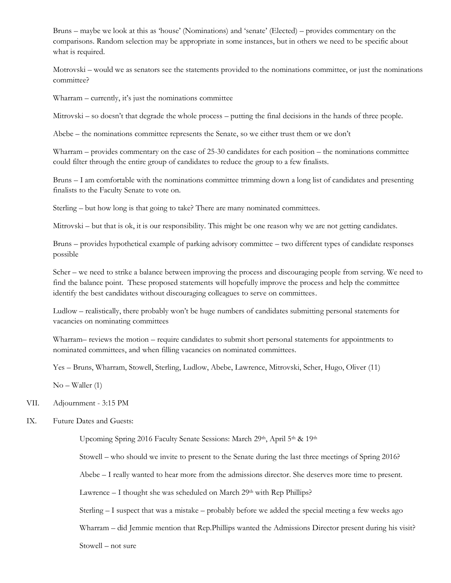Bruns – maybe we look at this as 'house' (Nominations) and 'senate' (Elected) – provides commentary on the comparisons. Random selection may be appropriate in some instances, but in others we need to be specific about what is required.

Motrovski – would we as senators see the statements provided to the nominations committee, or just the nominations committee?

Wharram – currently, it's just the nominations committee

Mitrovski – so doesn't that degrade the whole process – putting the final decisions in the hands of three people.

Abebe – the nominations committee represents the Senate, so we either trust them or we don't

Wharram – provides commentary on the case of 25-30 candidates for each position – the nominations committee could filter through the entire group of candidates to reduce the group to a few finalists.

Bruns – I am comfortable with the nominations committee trimming down a long list of candidates and presenting finalists to the Faculty Senate to vote on.

Sterling – but how long is that going to take? There are many nominated committees.

Mitrovski – but that is ok, it is our responsibility. This might be one reason why we are not getting candidates.

Bruns – provides hypothetical example of parking advisory committee – two different types of candidate responses possible

Scher – we need to strike a balance between improving the process and discouraging people from serving. We need to find the balance point. These proposed statements will hopefully improve the process and help the committee identify the best candidates without discouraging colleagues to serve on committees.

Ludlow – realistically, there probably won't be huge numbers of candidates submitting personal statements for vacancies on nominating committees

Wharram– reviews the motion – require candidates to submit short personal statements for appointments to nominated committees, and when filling vacancies on nominated committees.

Yes – Bruns, Wharram, Stowell, Sterling, Ludlow, Abebe, Lawrence, Mitrovski, Scher, Hugo, Oliver (11)

No – Waller (1)

#### VII. Adjournment - 3:15 PM

#### IX. Future Dates and Guests:

Upcoming Spring 2016 Faculty Senate Sessions: March 29th, April 5th & 19th

Stowell – who should we invite to present to the Senate during the last three meetings of Spring 2016?

Abebe – I really wanted to hear more from the admissions director. She deserves more time to present.

Lawrence  $-$  I thought she was scheduled on March  $29<sup>th</sup>$  with Rep Phillips?

Sterling – I suspect that was a mistake – probably before we added the special meeting a few weeks ago

Wharram – did Jemmie mention that Rep.Phillips wanted the Admissions Director present during his visit?

Stowell – not sure